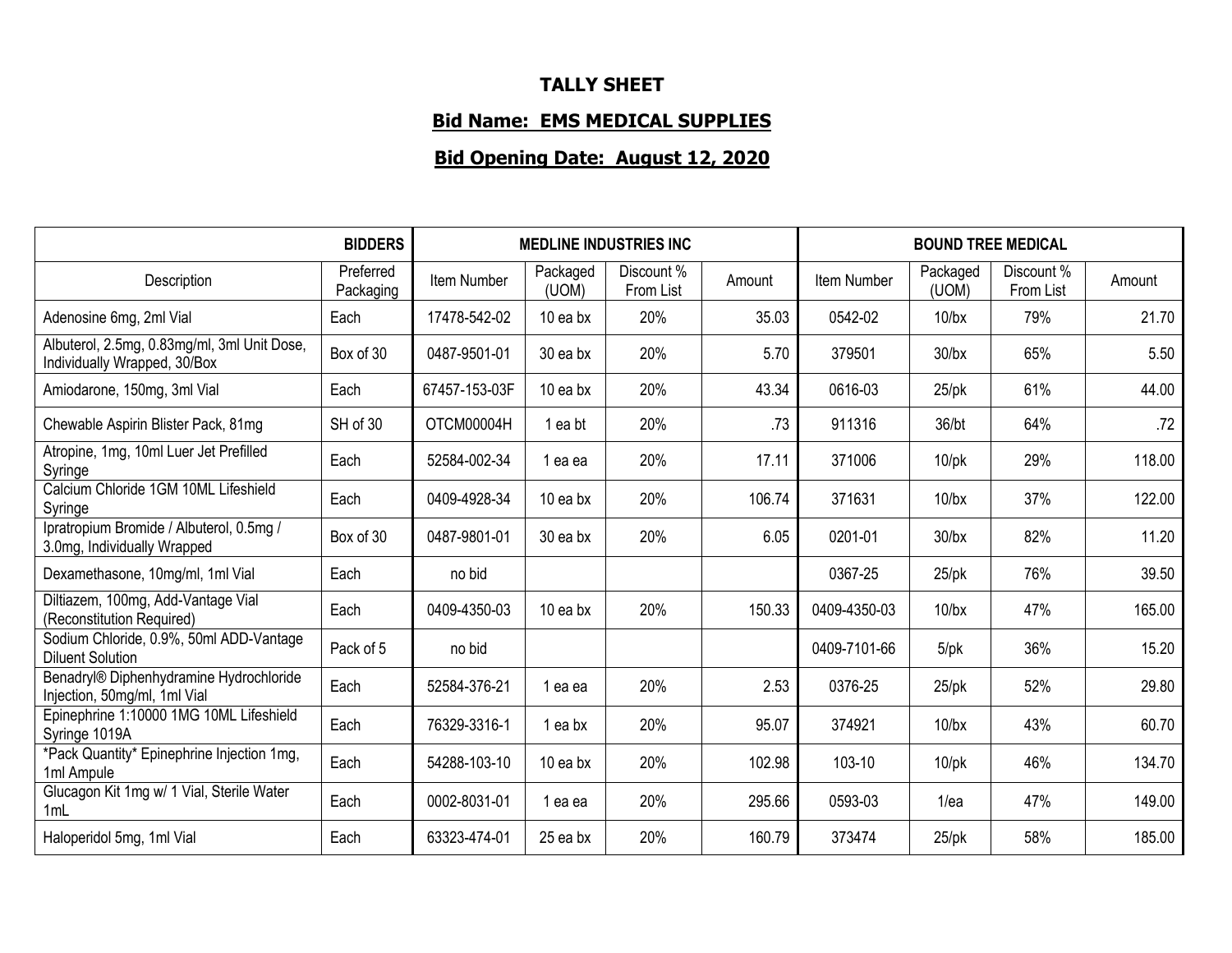## **TALLY SHEET**

## **Bid Name: EMS MEDICAL SUPPLIES**

## **Bid Opening Date: August 12, 2020**

|                                                                             | <b>BIDDERS</b>         | <b>MEDLINE INDUSTRIES INC</b> |                   |                         |        | <b>BOUND TREE MEDICAL</b> |                   |                         |        |
|-----------------------------------------------------------------------------|------------------------|-------------------------------|-------------------|-------------------------|--------|---------------------------|-------------------|-------------------------|--------|
| Description                                                                 | Preferred<br>Packaging | Item Number                   | Packaged<br>(UOM) | Discount %<br>From List | Amount | Item Number               | Packaged<br>(UOM) | Discount %<br>From List | Amount |
| Adenosine 6mg, 2ml Vial                                                     | Each                   | 17478-542-02                  | 10 ea bx          | 20%                     | 35.03  | 0542-02                   | $10$ /bx          | 79%                     | 21.70  |
| Albuterol, 2.5mg, 0.83mg/ml, 3ml Unit Dose,<br>Individually Wrapped, 30/Box | Box of 30              | 0487-9501-01                  | 30 ea bx          | 20%                     | 5.70   | 379501                    | $30$ /bx          | 65%                     | 5.50   |
| Amiodarone, 150mg, 3ml Vial                                                 | Each                   | 67457-153-03F                 | 10 ea bx          | 20%                     | 43.34  | 0616-03                   | $25$ /pk          | 61%                     | 44.00  |
| Chewable Aspirin Blister Pack, 81mg                                         | SH of 30               | OTCM00004H                    | 1 ea bt           | 20%                     | .73    | 911316                    | 36/bt             | 64%                     | .72    |
| Atropine, 1mg, 10ml Luer Jet Prefilled<br>Syringe                           | Each                   | 52584-002-34                  | 1 ea ea           | 20%                     | 17.11  | 371006                    | $10$ /pk          | 29%                     | 118.00 |
| Calcium Chloride 1GM 10ML Lifeshield<br>Syringe                             | Each                   | 0409-4928-34                  | $10$ ea bx        | 20%                     | 106.74 | 371631                    | $10$ /bx          | 37%                     | 122.00 |
| Ipratropium Bromide / Albuterol, 0.5mg /<br>3.0mg, Individually Wrapped     | Box of 30              | 0487-9801-01                  | 30 ea bx          | 20%                     | 6.05   | 0201-01                   | $30$ /bx          | 82%                     | 11.20  |
| Dexamethasone, 10mg/ml, 1ml Vial                                            | Each                   | no bid                        |                   |                         |        | 0367-25                   | $25$ /pk          | 76%                     | 39.50  |
| Diltiazem, 100mg, Add-Vantage Vial<br>(Reconstitution Required)             | Each                   | 0409-4350-03                  | 10 ea bx          | 20%                     | 150.33 | 0409-4350-03              | $10$ /bx          | 47%                     | 165.00 |
| Sodium Chloride, 0.9%, 50ml ADD-Vantage<br><b>Diluent Solution</b>          | Pack of 5              | no bid                        |                   |                         |        | 0409-7101-66              | $5$ /p $k$        | 36%                     | 15.20  |
| Benadryl® Diphenhydramine Hydrochloride<br>Injection, 50mg/ml, 1ml Vial     | Each                   | 52584-376-21                  | 1 ea ea           | 20%                     | 2.53   | 0376-25                   | $25$ /pk          | 52%                     | 29.80  |
| Epinephrine 1:10000 1MG 10ML Lifeshield<br>Syringe 1019A                    | Each                   | 76329-3316-1                  | 1 ea bx           | 20%                     | 95.07  | 374921                    | $10$ /bx          | 43%                     | 60.70  |
| *Pack Quantity* Epinephrine Injection 1mg,<br>1ml Ampule                    | Each                   | 54288-103-10                  | 10 ea bx          | 20%                     | 102.98 | 103-10                    | $10$ /p $k$       | 46%                     | 134.70 |
| Glucagon Kit 1mg w/ 1 Vial, Sterile Water<br>1mL                            | Each                   | 0002-8031-01                  | 1 ea ea           | 20%                     | 295.66 | 0593-03                   | 1/ea              | 47%                     | 149.00 |
| Haloperidol 5mg, 1ml Vial                                                   | Each                   | 63323-474-01                  | 25 ea bx          | 20%                     | 160.79 | 373474                    | $25$ /pk          | 58%                     | 185.00 |